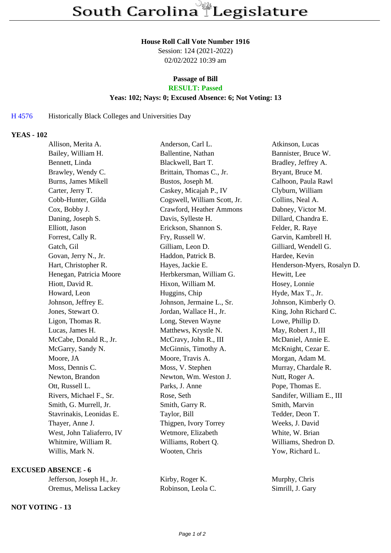#### **House Roll Call Vote Number 1916**

Session: 124 (2021-2022) 02/02/2022 10:39 am

# **Passage of Bill**

# **RESULT: Passed**

## **Yeas: 102; Nays: 0; Excused Absence: 6; Not Voting: 13**

### H 4576 Historically Black Colleges and Universities Day

### **YEAS - 102**

| Allison, Merita A.         | Anderson, Carl L.            | Atkinson, Lucas             |
|----------------------------|------------------------------|-----------------------------|
| Bailey, William H.         | Ballentine, Nathan           | Bannister, Bruce W.         |
| Bennett, Linda             | Blackwell, Bart T.           | Bradley, Jeffrey A.         |
| Brawley, Wendy C.          | Brittain, Thomas C., Jr.     | Bryant, Bruce M.            |
| <b>Burns, James Mikell</b> | Bustos, Joseph M.            | Calhoon, Paula Rawl         |
| Carter, Jerry T.           | Caskey, Micajah P., IV       | Clyburn, William            |
| Cobb-Hunter, Gilda         | Cogswell, William Scott, Jr. | Collins, Neal A.            |
| Cox, Bobby J.              | Crawford, Heather Ammons     | Dabney, Victor M.           |
| Daning, Joseph S.          | Davis, Sylleste H.           | Dillard, Chandra E.         |
| Elliott, Jason             | Erickson, Shannon S.         | Felder, R. Raye             |
| Forrest, Cally R.          | Fry, Russell W.              | Garvin, Kambrell H.         |
| Gatch, Gil                 | Gilliam, Leon D.             | Gilliard, Wendell G.        |
| Govan, Jerry N., Jr.       | Haddon, Patrick B.           | Hardee, Kevin               |
| Hart, Christopher R.       | Hayes, Jackie E.             | Henderson-Myers, Rosalyn D. |
| Henegan, Patricia Moore    | Herbkersman, William G.      | Hewitt, Lee                 |
| Hiott, David R.            | Hixon, William M.            | Hosey, Lonnie               |
| Howard, Leon               | Huggins, Chip                | Hyde, Max T., Jr.           |
| Johnson, Jeffrey E.        | Johnson, Jermaine L., Sr.    | Johnson, Kimberly O.        |
| Jones, Stewart O.          | Jordan, Wallace H., Jr.      | King, John Richard C.       |
| Ligon, Thomas R.           | Long, Steven Wayne           | Lowe, Phillip D.            |
| Lucas, James H.            | Matthews, Krystle N.         | May, Robert J., III         |
| McCabe, Donald R., Jr.     | McCravy, John R., III        | McDaniel, Annie E.          |
| McGarry, Sandy N.          | McGinnis, Timothy A.         | McKnight, Cezar E.          |
| Moore, JA                  | Moore, Travis A.             | Morgan, Adam M.             |
| Moss, Dennis C.            | Moss, V. Stephen             | Murray, Chardale R.         |
| Newton, Brandon            | Newton, Wm. Weston J.        | Nutt, Roger A.              |
| Ott, Russell L.            | Parks, J. Anne               | Pope, Thomas E.             |
| Rivers, Michael F., Sr.    | Rose, Seth                   | Sandifer, William E., III   |
| Smith, G. Murrell, Jr.     | Smith, Garry R.              | Smith, Marvin               |
| Stavrinakis, Leonidas E.   | Taylor, Bill                 | Tedder, Deon T.             |
| Thayer, Anne J.            | Thigpen, Ivory Torrey        | Weeks, J. David             |
| West, John Taliaferro, IV  | Wetmore, Elizabeth           | White, W. Brian             |
| Whitmire, William R.       | Williams, Robert Q.          | Williams, Shedron D.        |
| Willis, Mark N.            | Wooten, Chris                | Yow, Richard L.             |
|                            |                              |                             |

### **EXCUSED ABSENCE - 6**

| Jefferson, Joseph H., Jr. | Kirby, Roger K.    | Murphy, Chris    |
|---------------------------|--------------------|------------------|
| Oremus, Melissa Lackey    | Robinson, Leola C. | Simrill, J. Gary |

#### **NOT VOTING - 13**